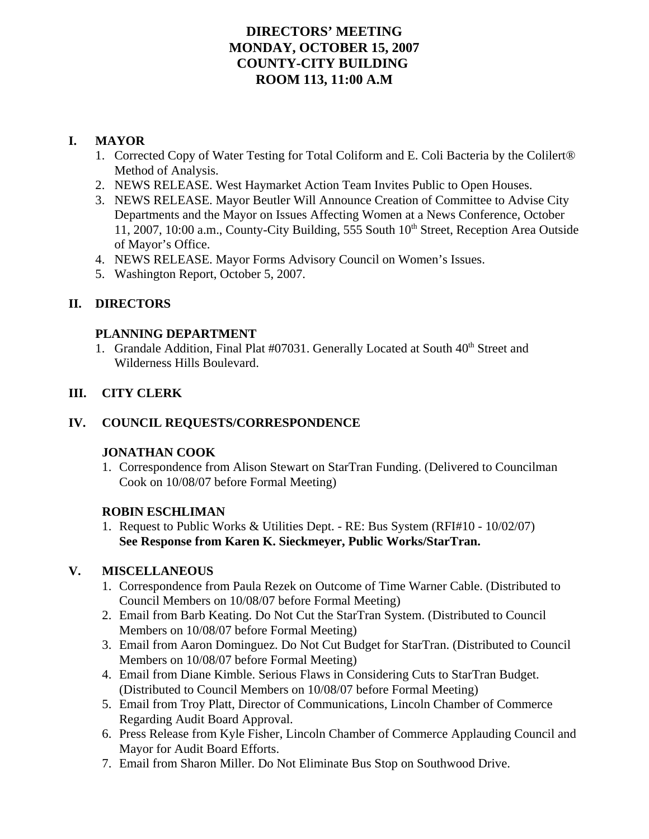# **DIRECTORS' MEETING MONDAY, OCTOBER 15, 2007 COUNTY-CITY BUILDING ROOM 113, 11:00 A.M**

# **I. MAYOR**

- 1. Corrected Copy of Water Testing for Total Coliform and E. Coli Bacteria by the Colilert® Method of Analysis.
- 2. NEWS RELEASE. West Haymarket Action Team Invites Public to Open Houses.
- 3. NEWS RELEASE. Mayor Beutler Will Announce Creation of Committee to Advise City Departments and the Mayor on Issues Affecting Women at a News Conference, October  $11, 2007, 10:00$  a.m., County-City Building, 555 South  $10<sup>th</sup>$  Street, Reception Area Outside of Mayor's Office.
- 4. NEWS RELEASE. Mayor Forms Advisory Council on Women's Issues.
- 5. Washington Report, October 5, 2007.

# **II. DIRECTORS**

### **PLANNING DEPARTMENT**

1. Grandale Addition, Final Plat #07031. Generally Located at South 40<sup>th</sup> Street and Wilderness Hills Boulevard.

# **III. CITY CLERK**

# **IV. COUNCIL REQUESTS/CORRESPONDENCE**

### **JONATHAN COOK**

1. Correspondence from Alison Stewart on StarTran Funding. (Delivered to Councilman Cook on 10/08/07 before Formal Meeting)

### **ROBIN ESCHLIMAN**

1. Request to Public Works & Utilities Dept. - RE: Bus System (RFI#10 - 10/02/07) **See Response from Karen K. Sieckmeyer, Public Works/StarTran.**

# **V. MISCELLANEOUS**

- 1. Correspondence from Paula Rezek on Outcome of Time Warner Cable. (Distributed to Council Members on 10/08/07 before Formal Meeting)
- 2. Email from Barb Keating. Do Not Cut the StarTran System. (Distributed to Council Members on 10/08/07 before Formal Meeting)
- 3. Email from Aaron Dominguez. Do Not Cut Budget for StarTran. (Distributed to Council Members on 10/08/07 before Formal Meeting)
- 4. Email from Diane Kimble. Serious Flaws in Considering Cuts to StarTran Budget. (Distributed to Council Members on 10/08/07 before Formal Meeting)
- 5. Email from Troy Platt, Director of Communications, Lincoln Chamber of Commerce Regarding Audit Board Approval.
- 6. Press Release from Kyle Fisher, Lincoln Chamber of Commerce Applauding Council and Mayor for Audit Board Efforts.
- 7. Email from Sharon Miller. Do Not Eliminate Bus Stop on Southwood Drive.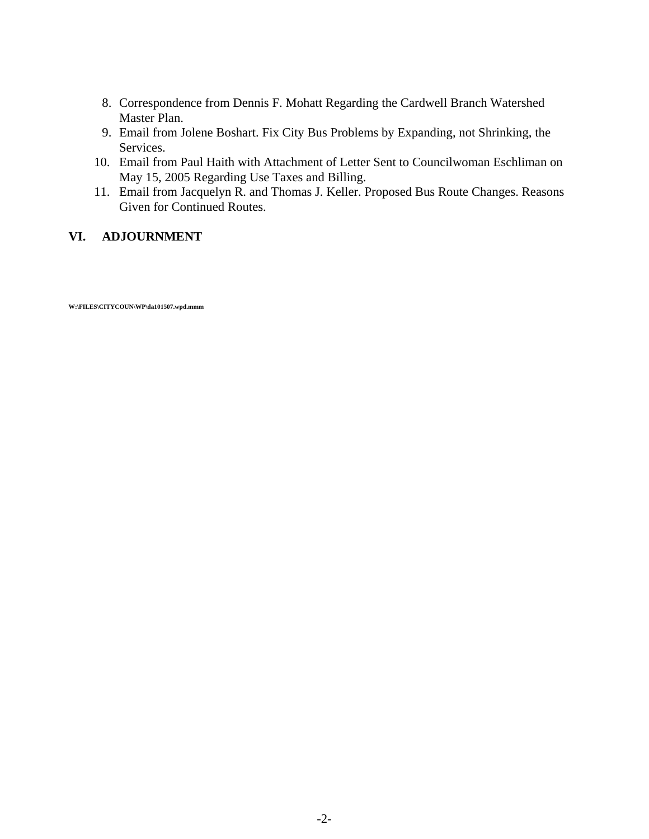- 8. Correspondence from Dennis F. Mohatt Regarding the Cardwell Branch Watershed Master Plan.
- 9. Email from Jolene Boshart. Fix City Bus Problems by Expanding, not Shrinking, the Services.
- 10. Email from Paul Haith with Attachment of Letter Sent to Councilwoman Eschliman on May 15, 2005 Regarding Use Taxes and Billing.
- 11. Email from Jacquelyn R. and Thomas J. Keller. Proposed Bus Route Changes. Reasons Given for Continued Routes.

### **VI. ADJOURNMENT**

**W:\FILES\CITYCOUN\WP\da101507.wpd.mmm**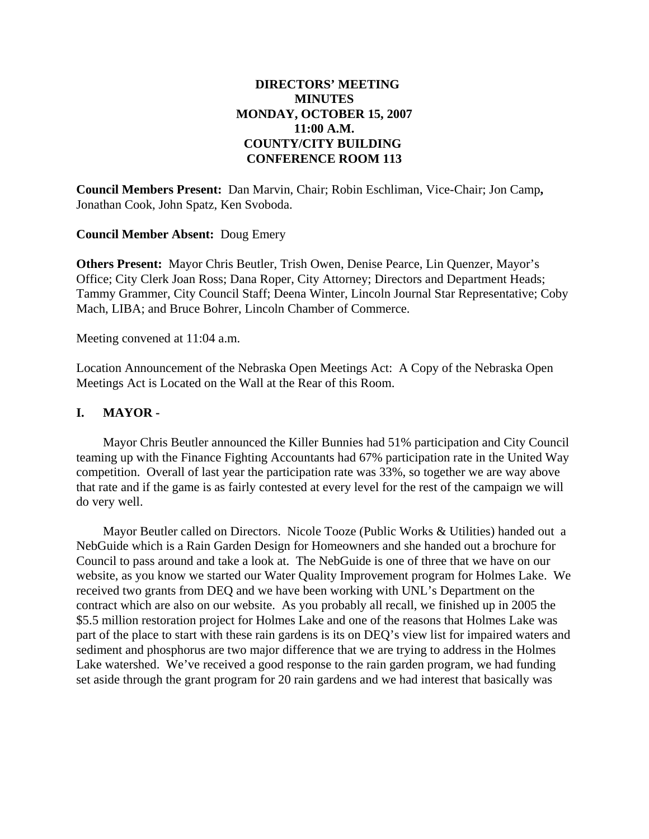### **DIRECTORS' MEETING MINUTES MONDAY, OCTOBER 15, 2007 11:00 A.M. COUNTY/CITY BUILDING CONFERENCE ROOM 113**

**Council Members Present:** Dan Marvin, Chair; Robin Eschliman, Vice-Chair; Jon Camp**,** Jonathan Cook, John Spatz, Ken Svoboda.

### **Council Member Absent:** Doug Emery

**Others Present:** Mayor Chris Beutler, Trish Owen, Denise Pearce, Lin Quenzer, Mayor's Office; City Clerk Joan Ross; Dana Roper, City Attorney; Directors and Department Heads; Tammy Grammer, City Council Staff; Deena Winter, Lincoln Journal Star Representative; Coby Mach, LIBA; and Bruce Bohrer, Lincoln Chamber of Commerce.

Meeting convened at 11:04 a.m.

Location Announcement of the Nebraska Open Meetings Act: A Copy of the Nebraska Open Meetings Act is Located on the Wall at the Rear of this Room.

### **I. MAYOR -**

Mayor Chris Beutler announced the Killer Bunnies had 51% participation and City Council teaming up with the Finance Fighting Accountants had 67% participation rate in the United Way competition. Overall of last year the participation rate was 33%, so together we are way above that rate and if the game is as fairly contested at every level for the rest of the campaign we will do very well.

Mayor Beutler called on Directors. Nicole Tooze (Public Works & Utilities) handed out a NebGuide which is a Rain Garden Design for Homeowners and she handed out a brochure for Council to pass around and take a look at. The NebGuide is one of three that we have on our website, as you know we started our Water Quality Improvement program for Holmes Lake. We received two grants from DEQ and we have been working with UNL's Department on the contract which are also on our website. As you probably all recall, we finished up in 2005 the \$5.5 million restoration project for Holmes Lake and one of the reasons that Holmes Lake was part of the place to start with these rain gardens is its on DEQ's view list for impaired waters and sediment and phosphorus are two major difference that we are trying to address in the Holmes Lake watershed. We've received a good response to the rain garden program, we had funding set aside through the grant program for 20 rain gardens and we had interest that basically was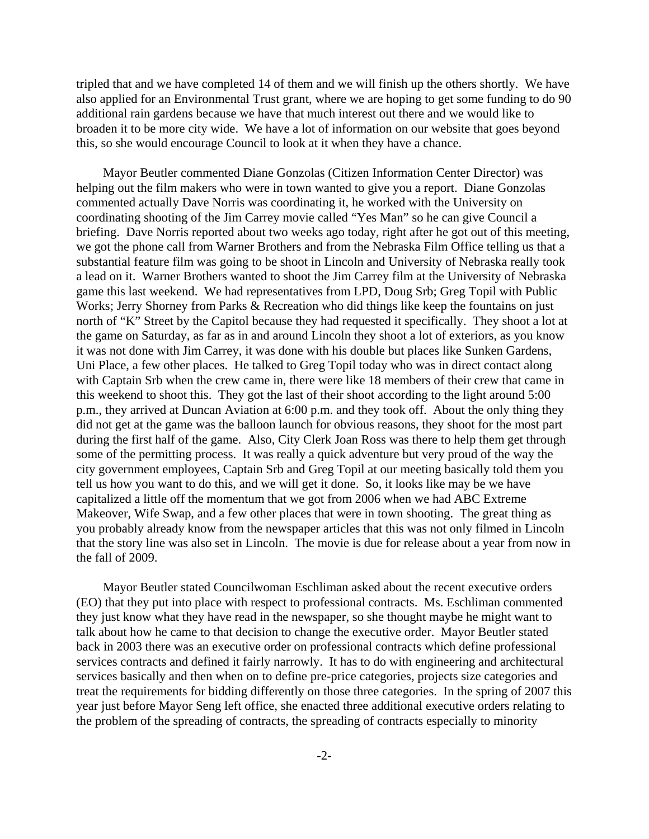tripled that and we have completed 14 of them and we will finish up the others shortly. We have also applied for an Environmental Trust grant, where we are hoping to get some funding to do 90 additional rain gardens because we have that much interest out there and we would like to broaden it to be more city wide. We have a lot of information on our website that goes beyond this, so she would encourage Council to look at it when they have a chance.

Mayor Beutler commented Diane Gonzolas (Citizen Information Center Director) was helping out the film makers who were in town wanted to give you a report. Diane Gonzolas commented actually Dave Norris was coordinating it, he worked with the University on coordinating shooting of the Jim Carrey movie called "Yes Man" so he can give Council a briefing. Dave Norris reported about two weeks ago today, right after he got out of this meeting, we got the phone call from Warner Brothers and from the Nebraska Film Office telling us that a substantial feature film was going to be shoot in Lincoln and University of Nebraska really took a lead on it. Warner Brothers wanted to shoot the Jim Carrey film at the University of Nebraska game this last weekend. We had representatives from LPD, Doug Srb; Greg Topil with Public Works; Jerry Shorney from Parks & Recreation who did things like keep the fountains on just north of "K" Street by the Capitol because they had requested it specifically. They shoot a lot at the game on Saturday, as far as in and around Lincoln they shoot a lot of exteriors, as you know it was not done with Jim Carrey, it was done with his double but places like Sunken Gardens, Uni Place, a few other places. He talked to Greg Topil today who was in direct contact along with Captain Srb when the crew came in, there were like 18 members of their crew that came in this weekend to shoot this. They got the last of their shoot according to the light around 5:00 p.m., they arrived at Duncan Aviation at 6:00 p.m. and they took off. About the only thing they did not get at the game was the balloon launch for obvious reasons, they shoot for the most part during the first half of the game. Also, City Clerk Joan Ross was there to help them get through some of the permitting process. It was really a quick adventure but very proud of the way the city government employees, Captain Srb and Greg Topil at our meeting basically told them you tell us how you want to do this, and we will get it done. So, it looks like may be we have capitalized a little off the momentum that we got from 2006 when we had ABC Extreme Makeover, Wife Swap, and a few other places that were in town shooting. The great thing as you probably already know from the newspaper articles that this was not only filmed in Lincoln that the story line was also set in Lincoln. The movie is due for release about a year from now in the fall of 2009.

Mayor Beutler stated Councilwoman Eschliman asked about the recent executive orders (EO) that they put into place with respect to professional contracts. Ms. Eschliman commented they just know what they have read in the newspaper, so she thought maybe he might want to talk about how he came to that decision to change the executive order. Mayor Beutler stated back in 2003 there was an executive order on professional contracts which define professional services contracts and defined it fairly narrowly. It has to do with engineering and architectural services basically and then when on to define pre-price categories, projects size categories and treat the requirements for bidding differently on those three categories. In the spring of 2007 this year just before Mayor Seng left office, she enacted three additional executive orders relating to the problem of the spreading of contracts, the spreading of contracts especially to minority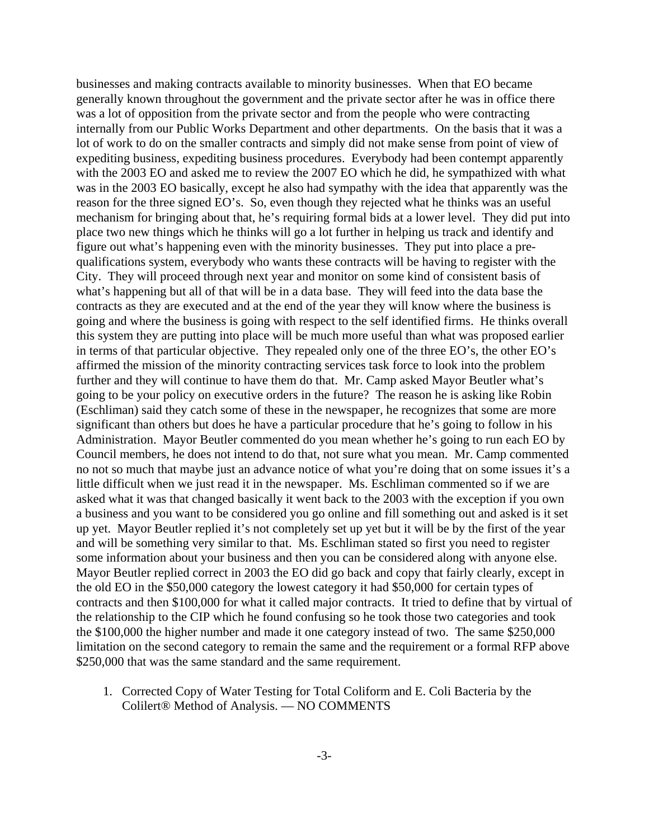businesses and making contracts available to minority businesses. When that EO became generally known throughout the government and the private sector after he was in office there was a lot of opposition from the private sector and from the people who were contracting internally from our Public Works Department and other departments. On the basis that it was a lot of work to do on the smaller contracts and simply did not make sense from point of view of expediting business, expediting business procedures. Everybody had been contempt apparently with the 2003 EO and asked me to review the 2007 EO which he did, he sympathized with what was in the 2003 EO basically, except he also had sympathy with the idea that apparently was the reason for the three signed EO's. So, even though they rejected what he thinks was an useful mechanism for bringing about that, he's requiring formal bids at a lower level. They did put into place two new things which he thinks will go a lot further in helping us track and identify and figure out what's happening even with the minority businesses. They put into place a prequalifications system, everybody who wants these contracts will be having to register with the City. They will proceed through next year and monitor on some kind of consistent basis of what's happening but all of that will be in a data base. They will feed into the data base the contracts as they are executed and at the end of the year they will know where the business is going and where the business is going with respect to the self identified firms. He thinks overall this system they are putting into place will be much more useful than what was proposed earlier in terms of that particular objective. They repealed only one of the three EO's, the other EO's affirmed the mission of the minority contracting services task force to look into the problem further and they will continue to have them do that. Mr. Camp asked Mayor Beutler what's going to be your policy on executive orders in the future? The reason he is asking like Robin (Eschliman) said they catch some of these in the newspaper, he recognizes that some are more significant than others but does he have a particular procedure that he's going to follow in his Administration. Mayor Beutler commented do you mean whether he's going to run each EO by Council members, he does not intend to do that, not sure what you mean. Mr. Camp commented no not so much that maybe just an advance notice of what you're doing that on some issues it's a little difficult when we just read it in the newspaper. Ms. Eschliman commented so if we are asked what it was that changed basically it went back to the 2003 with the exception if you own a business and you want to be considered you go online and fill something out and asked is it set up yet. Mayor Beutler replied it's not completely set up yet but it will be by the first of the year and will be something very similar to that. Ms. Eschliman stated so first you need to register some information about your business and then you can be considered along with anyone else. Mayor Beutler replied correct in 2003 the EO did go back and copy that fairly clearly, except in the old EO in the \$50,000 category the lowest category it had \$50,000 for certain types of contracts and then \$100,000 for what it called major contracts. It tried to define that by virtual of the relationship to the CIP which he found confusing so he took those two categories and took the \$100,000 the higher number and made it one category instead of two. The same \$250,000 limitation on the second category to remain the same and the requirement or a formal RFP above \$250,000 that was the same standard and the same requirement.

1. Corrected Copy of Water Testing for Total Coliform and E. Coli Bacteria by the Colilert® Method of Analysis. — NO COMMENTS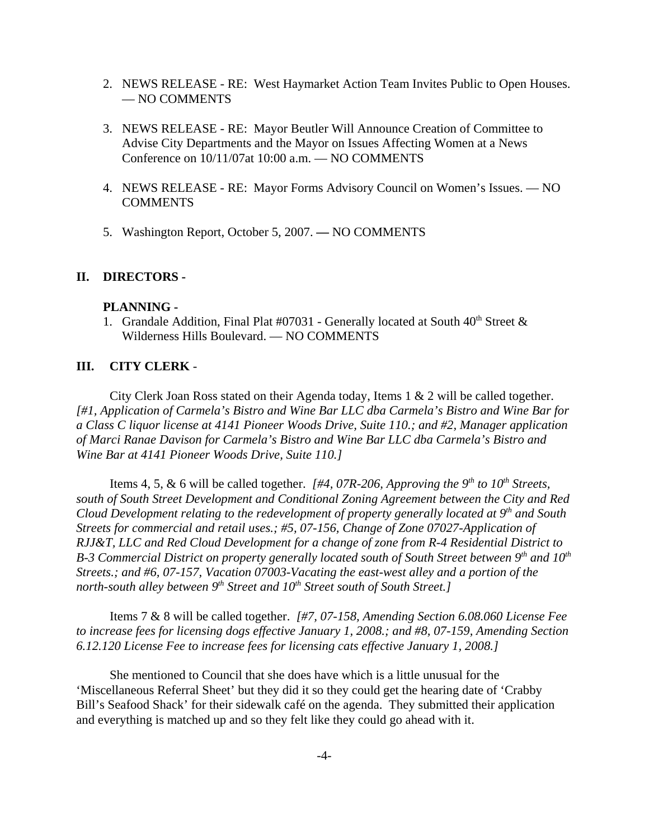- 2. NEWS RELEASE RE: West Haymarket Action Team Invites Public to Open Houses. — NO COMMENTS
- 3. NEWS RELEASE RE: Mayor Beutler Will Announce Creation of Committee to Advise City Departments and the Mayor on Issues Affecting Women at a News Conference on 10/11/07at 10:00 a.m. — NO COMMENTS
- 4. NEWS RELEASE RE: Mayor Forms Advisory Council on Women's Issues. NO COMMENTS
- 5. Washington Report, October 5, 2007.NO COMMENTS

#### **II. DIRECTORS -**

#### **PLANNING -**

1. Grandale Addition, Final Plat #07031 - Generally located at South  $40<sup>th</sup>$  Street  $\&$ Wilderness Hills Boulevard. — NO COMMENTS

#### **III. CITY CLERK** -

City Clerk Joan Ross stated on their Agenda today, Items 1 & 2 will be called together. *[#1, Application of Carmela's Bistro and Wine Bar LLC dba Carmela's Bistro and Wine Bar for a Class C liquor license at 4141 Pioneer Woods Drive, Suite 110.; and #2, Manager application of Marci Ranae Davison for Carmela's Bistro and Wine Bar LLC dba Carmela's Bistro and Wine Bar at 4141 Pioneer Woods Drive, Suite 110.]* 

Items 4, 5, & 6 will be called together.  $\mu$  *[#4, 07R-206, Approving the 9<sup>th</sup> to 10<sup>th</sup> Streets, south of South Street Development and Conditional Zoning Agreement between the City and Red Cloud Development relating to the redevelopment of property generally located at 9th and South Streets for commercial and retail uses.; #5, 07-156, Change of Zone 07027-Application of RJJ&T, LLC and Red Cloud Development for a change of zone from R-4 Residential District to B-3 Commercial District on property generally located south of South Street between 9<sup>th</sup> and 10<sup>th</sup> Streets.; and #6, 07-157, Vacation 07003-Vacating the east-west alley and a portion of the north-south alley between 9<sup>th</sup> Street and 10<sup>th</sup> Street south of South Street.]* 

Items 7 & 8 will be called together. *[#7, 07-158, Amending Section 6.08.060 License Fee to increase fees for licensing dogs effective January 1, 2008.; and #8, 07-159, Amending Section 6.12.120 License Fee to increase fees for licensing cats effective January 1, 2008.]* 

She mentioned to Council that she does have which is a little unusual for the 'Miscellaneous Referral Sheet' but they did it so they could get the hearing date of 'Crabby Bill's Seafood Shack' for their sidewalk café on the agenda. They submitted their application and everything is matched up and so they felt like they could go ahead with it.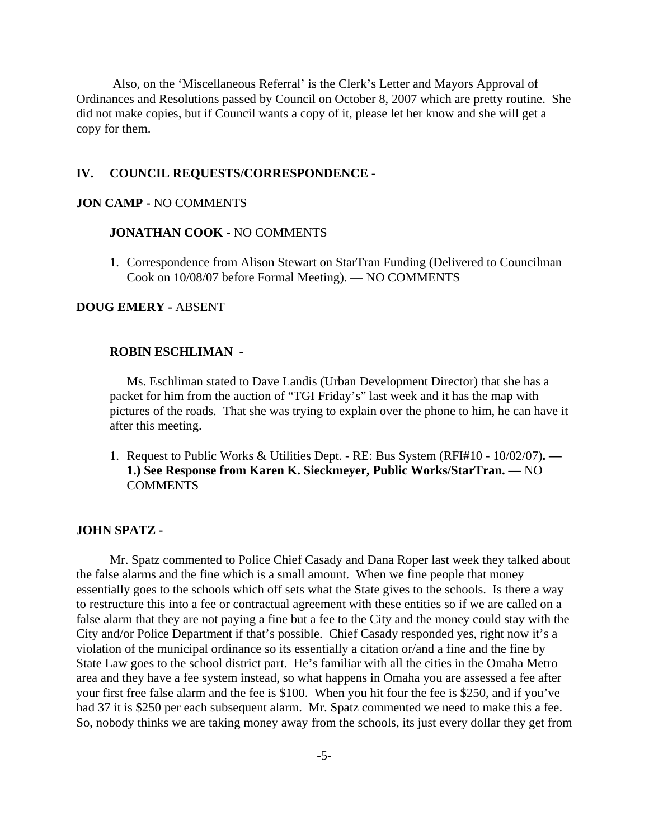Also, on the 'Miscellaneous Referral' is the Clerk's Letter and Mayors Approval of Ordinances and Resolutions passed by Council on October 8, 2007 which are pretty routine. She did not make copies, but if Council wants a copy of it, please let her know and she will get a copy for them.

#### **IV. COUNCIL REQUESTS/CORRESPONDENCE -**

#### **JON CAMP -** NO COMMENTS

#### **JONATHAN COOK** - NO COMMENTS

1. Correspondence from Alison Stewart on StarTran Funding (Delivered to Councilman Cook on 10/08/07 before Formal Meeting). — NO COMMENTS

#### **DOUG EMERY -** ABSENT

#### **ROBIN ESCHLIMAN -**

Ms. Eschliman stated to Dave Landis (Urban Development Director) that she has a packet for him from the auction of "TGI Friday's" last week and it has the map with pictures of the roads. That she was trying to explain over the phone to him, he can have it after this meeting.

1. Request to Public Works & Utilities Dept. - RE: Bus System (RFI#10 - 10/02/07)**. — 1.) See Response from Karen K. Sieckmeyer, Public Works/StarTran. —** NO **COMMENTS** 

#### **JOHN SPATZ -**

Mr. Spatz commented to Police Chief Casady and Dana Roper last week they talked about the false alarms and the fine which is a small amount. When we fine people that money essentially goes to the schools which off sets what the State gives to the schools. Is there a way to restructure this into a fee or contractual agreement with these entities so if we are called on a false alarm that they are not paying a fine but a fee to the City and the money could stay with the City and/or Police Department if that's possible. Chief Casady responded yes, right now it's a violation of the municipal ordinance so its essentially a citation or/and a fine and the fine by State Law goes to the school district part. He's familiar with all the cities in the Omaha Metro area and they have a fee system instead, so what happens in Omaha you are assessed a fee after your first free false alarm and the fee is \$100. When you hit four the fee is \$250, and if you've had 37 it is \$250 per each subsequent alarm. Mr. Spatz commented we need to make this a fee. So, nobody thinks we are taking money away from the schools, its just every dollar they get from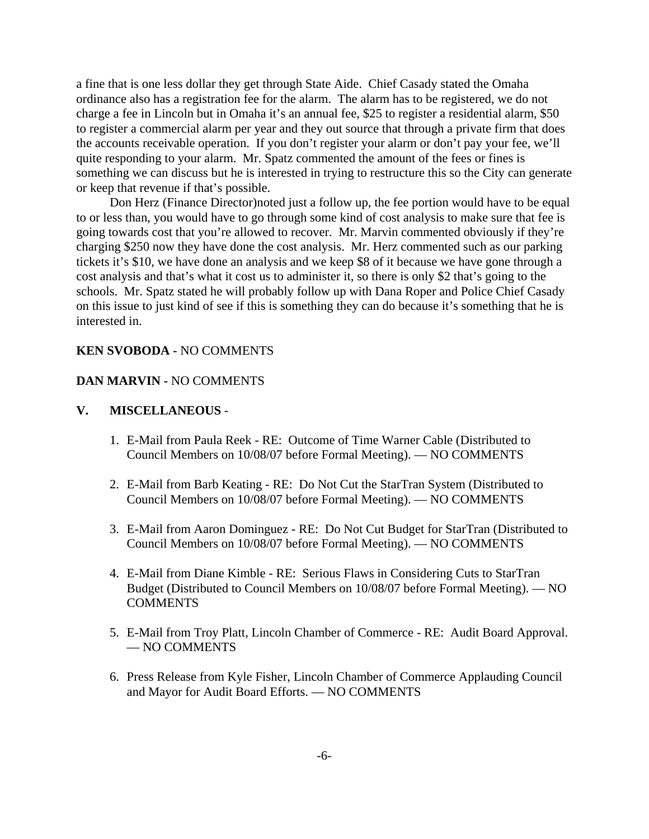a fine that is one less dollar they get through State Aide. Chief Casady stated the Omaha ordinance also has a registration fee for the alarm. The alarm has to be registered, we do not charge a fee in Lincoln but in Omaha it's an annual fee, \$25 to register a residential alarm, \$50 to register a commercial alarm per year and they out source that through a private firm that does the accounts receivable operation. If you don't register your alarm or don't pay your fee, we'll quite responding to your alarm. Mr. Spatz commented the amount of the fees or fines is something we can discuss but he is interested in trying to restructure this so the City can generate or keep that revenue if that's possible.

Don Herz (Finance Director)noted just a follow up, the fee portion would have to be equal to or less than, you would have to go through some kind of cost analysis to make sure that fee is going towards cost that you're allowed to recover. Mr. Marvin commented obviously if they're charging \$250 now they have done the cost analysis. Mr. Herz commented such as our parking tickets it's \$10, we have done an analysis and we keep \$8 of it because we have gone through a cost analysis and that's what it cost us to administer it, so there is only \$2 that's going to the schools. Mr. Spatz stated he will probably follow up with Dana Roper and Police Chief Casady on this issue to just kind of see if this is something they can do because it's something that he is interested in.

### **KEN SVOBODA -** NO COMMENTS

#### **DAN MARVIN -** NO COMMENTS

### **V. MISCELLANEOUS** -

- 1. E-Mail from Paula Reek RE: Outcome of Time Warner Cable (Distributed to Council Members on 10/08/07 before Formal Meeting). — NO COMMENTS
- 2. E-Mail from Barb Keating RE: Do Not Cut the StarTran System (Distributed to Council Members on 10/08/07 before Formal Meeting). — NO COMMENTS
- 3. E-Mail from Aaron Dominguez RE: Do Not Cut Budget for StarTran (Distributed to Council Members on 10/08/07 before Formal Meeting). — NO COMMENTS
- 4. E-Mail from Diane Kimble RE: Serious Flaws in Considering Cuts to StarTran Budget (Distributed to Council Members on 10/08/07 before Formal Meeting). — NO **COMMENTS**
- 5. E-Mail from Troy Platt, Lincoln Chamber of Commerce RE: Audit Board Approval. — NO COMMENTS
- 6. Press Release from Kyle Fisher, Lincoln Chamber of Commerce Applauding Council and Mayor for Audit Board Efforts. — NO COMMENTS